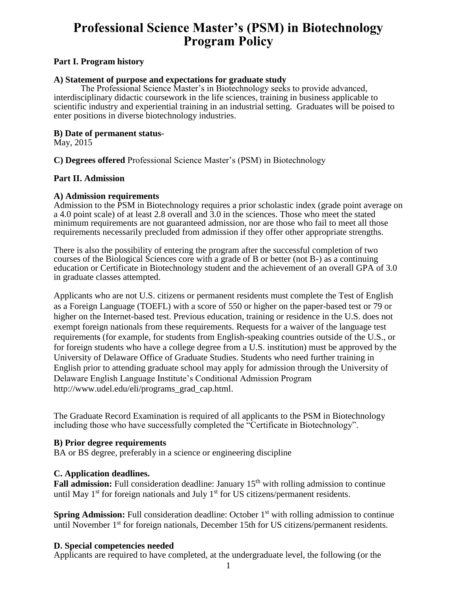# **Professional Science Master's (PSM) in Biotechnology Program Policy**

#### **Part I. Program history**

#### **A) Statement of purpose and expectations for graduate study**

The Professional Science Master's in Biotechnology seeks to provide advanced, interdisciplinary didactic coursework in the life sciences, training in business applicable to scientific industry and experiential training in an industrial setting. Graduates will be poised to enter positions in diverse biotechnology industries.

#### **B) Date of permanent status-**

May, 2015

**C) Degrees offered** Professional Science Master's (PSM) in Biotechnology

#### **Part II. Admission**

#### **A) Admission requirements**

Admission to the PSM in Biotechnology requires a prior scholastic index (grade point average on a 4.0 point scale) of at least 2.8 overall and 3.0 in the sciences. Those who meet the stated minimum requirements are not guaranteed admission, nor are those who fail to meet all those requirements necessarily precluded from admission if they offer other appropriate strengths.

There is also the possibility of entering the program after the successful completion of two courses of the Biological Sciences core with a grade of B or better (not B-) as a continuing education or Certificate in Biotechnology student and the achievement of an overall GPA of 3.0 in graduate classes attempted.

Applicants who are not U.S. citizens or permanent residents must complete the Test of English as a Foreign Language (TOEFL) with a score of 550 or higher on the paper-based test or 79 or higher on the Internet-based test. Previous education, training or residence in the U.S. does not exempt foreign nationals from these requirements. Requests for a waiver of the language test requirements (for example, for students from English-speaking countries outside of the U.S., or for foreign students who have a college degree from a U.S. institution) must be approved by the University of Delaware Office of Graduate Studies. Students who need further training in English prior to attending graduate school may apply for admission through the University of Delaware English Language Institute's Conditional Admission Program http://www.udel.edu/eli/programs\_grad\_cap.html.

The Graduate Record Examination is required of all applicants to the PSM in Biotechnology including those who have successfully completed the "Certificate in Biotechnology".

#### **B) Prior degree requirements**

BA or BS degree, preferably in a science or engineering discipline

#### **C. Application deadlines.**

**Fall admission:** Full consideration deadline: January 15<sup>th</sup> with rolling admission to continue until May  $1<sup>st</sup>$  for foreign nationals and July  $1<sup>st</sup>$  for US citizens/permanent residents.

**Spring Admission:** Full consideration deadline: October 1<sup>st</sup> with rolling admission to continue until November 1<sup>st</sup> for foreign nationals, December 15th for US citizens/permanent residents.

#### **D. Special competencies needed**

Applicants are required to have completed, at the undergraduate level, the following (or the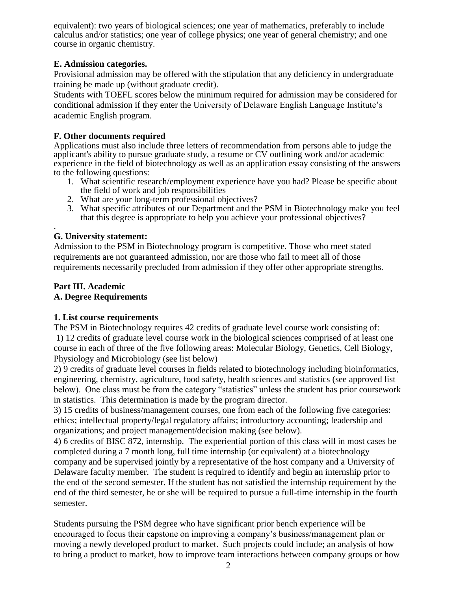equivalent): two years of biological sciences; one year of mathematics, preferably to include calculus and/or statistics; one year of college physics; one year of general chemistry; and one course in organic chemistry.

#### **E. Admission categories.**

Provisional admission may be offered with the stipulation that any deficiency in undergraduate training be made up (without graduate credit).

Students with TOEFL scores below the minimum required for admission may be considered for conditional admission if they enter the University of Delaware English Language Institute's academic English program.

#### **F. Other documents required**

Applications must also include three letters of recommendation from persons able to judge the applicant's ability to pursue graduate study, a resume or CV outlining work and/or academic experience in the field of biotechnology as well as an application essay consisting of the answers to the following questions:

- 1. What scientific research/employment experience have you had? Please be specific about the field of work and job responsibilities
- 2. What are your long-term professional objectives?
- 3. What specific attributes of our Department and the PSM in Biotechnology make you feel that this degree is appropriate to help you achieve your professional objectives?

#### . **G. University statement:**

Admission to the PSM in Biotechnology program is competitive. Those who meet stated requirements are not guaranteed admission, nor are those who fail to meet all of those requirements necessarily precluded from admission if they offer other appropriate strengths.

# **Part III. Academic**

# **A. Degree Requirements**

# **1. List course requirements**

The PSM in Biotechnology requires 42 credits of graduate level course work consisting of: 1) 12 credits of graduate level course work in the biological sciences comprised of at least one course in each of three of the five following areas: Molecular Biology, Genetics, Cell Biology, Physiology and Microbiology (see list below)

2) 9 credits of graduate level courses in fields related to biotechnology including bioinformatics, engineering, chemistry, agriculture, food safety, health sciences and statistics (see approved list below). One class must be from the category "statistics" unless the student has prior coursework in statistics. This determination is made by the program director.

3) 15 credits of business/management courses, one from each of the following five categories: ethics; intellectual property/legal regulatory affairs; introductory accounting; leadership and organizations; and project management/decision making (see below).

4) 6 credits of BISC 872, internship. The experiential portion of this class will in most cases be completed during a 7 month long, full time internship (or equivalent) at a biotechnology company and be supervised jointly by a representative of the host company and a University of Delaware faculty member. The student is required to identify and begin an internship prior to the end of the second semester. If the student has not satisfied the internship requirement by the end of the third semester, he or she will be required to pursue a full-time internship in the fourth semester.

Students pursuing the PSM degree who have significant prior bench experience will be encouraged to focus their capstone on improving a company's business/management plan or moving a newly developed product to market. Such projects could include; an analysis of how to bring a product to market, how to improve team interactions between company groups or how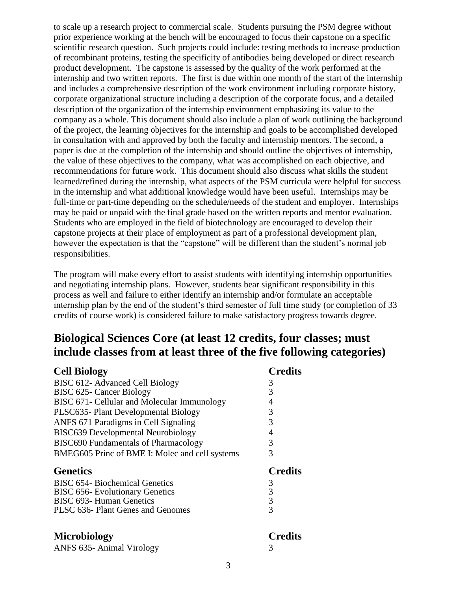to scale up a research project to commercial scale. Students pursuing the PSM degree without prior experience working at the bench will be encouraged to focus their capstone on a specific scientific research question. Such projects could include: testing methods to increase production of recombinant proteins, testing the specificity of antibodies being developed or direct research product development. The capstone is assessed by the quality of the work performed at the internship and two written reports. The first is due within one month of the start of the internship and includes a comprehensive description of the work environment including corporate history, corporate organizational structure including a description of the corporate focus, and a detailed description of the organization of the internship environment emphasizing its value to the company as a whole. This document should also include a plan of work outlining the background of the project, the learning objectives for the internship and goals to be accomplished developed in consultation with and approved by both the faculty and internship mentors. The second, a paper is due at the completion of the internship and should outline the objectives of internship, the value of these objectives to the company, what was accomplished on each objective, and recommendations for future work. This document should also discuss what skills the student learned/refined during the internship, what aspects of the PSM curricula were helpful for success in the internship and what additional knowledge would have been useful. Internships may be full-time or part-time depending on the schedule/needs of the student and employer. Internships may be paid or unpaid with the final grade based on the written reports and mentor evaluation. Students who are employed in the field of biotechnology are encouraged to develop their capstone projects at their place of employment as part of a professional development plan, however the expectation is that the "capstone" will be different than the student's normal job responsibilities.

The program will make every effort to assist students with identifying internship opportunities and negotiating internship plans. However, students bear significant responsibility in this process as well and failure to either identify an internship and/or formulate an acceptable internship plan by the end of the student's third semester of full time study (or completion of 33 credits of course work) is considered failure to make satisfactory progress towards degree.

# **Biological Sciences Core (at least 12 credits, four classes; must include classes from at least three of the five following categories)**

| <b>Cell Biology</b>                            | <b>Credits</b> |
|------------------------------------------------|----------------|
| BISC 612- Advanced Cell Biology                | 3              |
| BISC 625- Cancer Biology                       | 3              |
| BISC 671- Cellular and Molecular Immunology    | 4              |
| PLSC635- Plant Developmental Biology           | 3              |
| ANFS 671 Paradigms in Cell Signaling           | 3              |
| <b>BISC639 Developmental Neurobiology</b>      | 4              |
| <b>BISC690 Fundamentals of Pharmacology</b>    | 3              |
| BMEG605 Princ of BME I: Molec and cell systems | 3              |
| <b>Genetics</b>                                | <b>Credits</b> |
| <b>BISC 654- Biochemical Genetics</b>          | 3              |
| <b>BISC 656- Evolutionary Genetics</b>         | 3              |
| <b>BISC 693- Human Genetics</b>                | 3              |
| PLSC 636- Plant Genes and Genomes              | 3              |
|                                                |                |

| <b>Microbiology</b>       | <b>Credits</b> |
|---------------------------|----------------|
| ANFS 635- Animal Virology |                |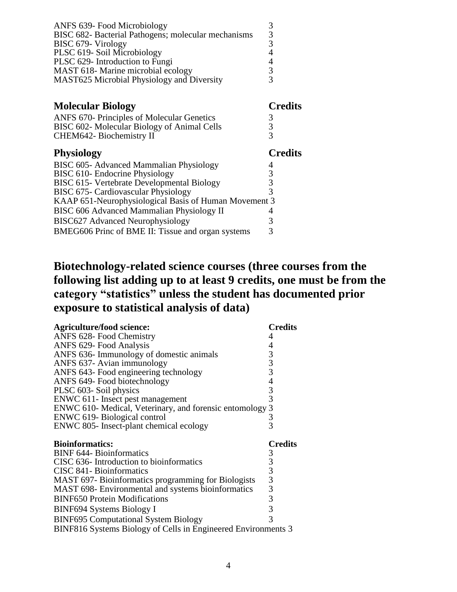| ANFS 639- Food Microbiology                         |               |
|-----------------------------------------------------|---------------|
| BISC 682- Bacterial Pathogens; molecular mechanisms | $\mathcal{R}$ |
| BISC 679- Virology                                  |               |
| PLSC 619-Soil Microbiology                          |               |
| PLSC 629- Introduction to Fungi                     |               |
| MAST 618- Marine microbial ecology                  |               |
| <b>MAST625 Microbial Physiology and Diversity</b>   |               |

| <b>Molecular Biology</b>                              | <b>Credits</b> |
|-------------------------------------------------------|----------------|
| ANFS 670- Principles of Molecular Genetics            |                |
| BISC 602- Molecular Biology of Animal Cells           | 3              |
| CHEM642- Biochemistry II                              |                |
| <b>Physiology</b>                                     | <b>Credits</b> |
| BISC 605- Advanced Mammalian Physiology               |                |
| BISC 610- Endocrine Physiology                        | 3              |
| BISC 615- Vertebrate Developmental Biology            |                |
| BISC 675- Cardiovascular Physiology                   | 3              |
| KAAP 651-Neurophysiological Basis of Human Movement 3 |                |
| BISC 606 Advanced Mammalian Physiology II             |                |
| <b>BISC627 Advanced Neurophysiology</b>               | 3              |
| BMEG606 Princ of BME II: Tissue and organ systems     | 3              |
|                                                       |                |

# **Biotechnology-related science courses (three courses from the following list adding up to at least 9 credits, one must be from the category "statistics" unless the student has documented prior exposure to statistical analysis of data)**

| <b>Agriculture/food science:</b>                                         | <b>Credits</b>          |
|--------------------------------------------------------------------------|-------------------------|
| ANFS 628- Food Chemistry                                                 |                         |
| ANFS 629- Food Analysis                                                  | 4                       |
| ANFS 636- Immunology of domestic animals                                 | $3334$<br>$333$         |
| ANFS 637- Avian immunology                                               |                         |
| ANFS 643- Food engineering technology                                    |                         |
| ANFS 649- Food biotechnology                                             |                         |
| PLSC 603- Soil physics                                                   |                         |
| ENWC 611- Insect pest management                                         |                         |
| ENWC 610- Medical, Veterinary, and forensic entomology                   | 3                       |
| ENWC 619- Biological control                                             | $\frac{3}{3}$           |
| ENWC 805- Insect-plant chemical ecology                                  |                         |
|                                                                          |                         |
| <b>Bioinformatics:</b>                                                   | <b>Credits</b>          |
| <b>BINF 644- Bioinformatics</b>                                          |                         |
| CISC 636- Introduction to bioinformatics                                 |                         |
| CISC 841- Bioinformatics                                                 |                         |
| MAST 697-Bioinformatics programming for Biologists                       |                         |
| MAST 698- Environmental and systems bioinformatics                       |                         |
| <b>BINF650 Protein Modifications</b>                                     | $3333$<br>$333$<br>$33$ |
|                                                                          | 3                       |
| BINF694 Systems Biology I<br><b>BINF695 Computational System Biology</b> | 3                       |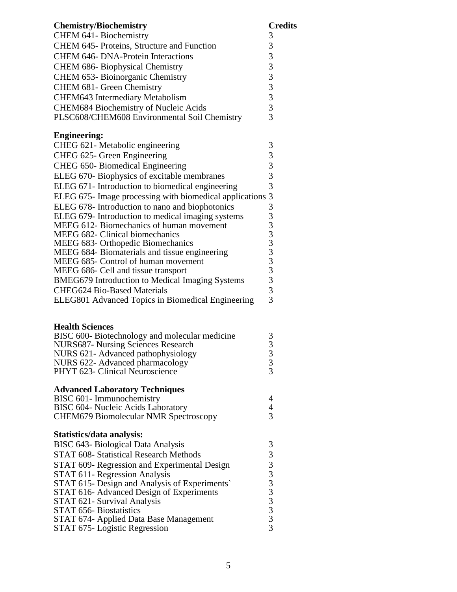| <b>Chemistry/Biochemistry</b>                                           | <b>Credits</b>          |
|-------------------------------------------------------------------------|-------------------------|
| <b>CHEM 641-Biochemistry</b>                                            | 3                       |
| CHEM 645- Proteins, Structure and Function                              | 3                       |
| <b>CHEM 646- DNA-Protein Interactions</b>                               | 3                       |
| <b>CHEM 686- Biophysical Chemistry</b>                                  | 3                       |
| CHEM 653- Bioinorganic Chemistry                                        | $\overline{\mathbf{3}}$ |
| CHEM 681- Green Chemistry                                               |                         |
| <b>CHEM643 Intermediary Metabolism</b>                                  | $rac{3}{3}$             |
| <b>CHEM684 Biochemistry of Nucleic Acids</b>                            | $\frac{3}{3}$           |
| PLSC608/CHEM608 Environmental Soil Chemistry                            |                         |
| <b>Engineering:</b>                                                     |                         |
| CHEG 621- Metabolic engineering                                         | 3                       |
| CHEG 625- Green Engineering                                             | 3                       |
| <b>CHEG 650- Biomedical Engineering</b>                                 | 3                       |
| ELEG 670- Biophysics of excitable membranes                             | $\overline{3}$          |
| ELEG 671- Introduction to biomedical engineering                        | $\overline{3}$          |
| ELEG 675- Image processing with biomedical applications 3               |                         |
| ELEG 678- Introduction to nano and biophotonics                         | 3                       |
| ELEG 679- Introduction to medical imaging systems                       |                         |
| <b>MEEG 612- Biomechanics of human movement</b>                         |                         |
| <b>MEEG 682- Clinical biomechanics</b>                                  |                         |
| MEEG 683- Orthopedic Biomechanics                                       |                         |
| MEEG 684- Biomaterials and tissue engineering                           |                         |
| MEEG 685- Control of human movement                                     |                         |
| MEEG 686- Cell and tissue transport                                     |                         |
| <b>BMEG679 Introduction to Medical Imaging Systems</b>                  |                         |
| <b>CHEG624 Bio-Based Materials</b>                                      | $\overline{3}$          |
| <b>ELEG801 Advanced Topics in Biomedical Engineering</b>                | 3                       |
|                                                                         |                         |
| <b>Health Sciences</b><br>BISC 600-Biotechnology and molecular medicine | 3                       |
| <b>NURS687- Nursing Sciences Research</b>                               | 3                       |
| NURS 621- Advanced pathophysiology                                      | $\mathfrak{Z}$          |
| NURS 622- Advanced pharmacology                                         | $\frac{3}{3}$           |
| PHYT 623- Clinical Neuroscience                                         |                         |
| <b>Advanced Laboratory Techniques</b>                                   |                         |
| BISC 601- Immunochemistry                                               | 4                       |
| <b>BISC 604- Nucleic Acids Laboratory</b>                               | 4                       |
| <b>CHEM679 Biomolecular NMR Spectroscopy</b>                            | 3                       |
| Statistics/data analysis:                                               |                         |
| <b>BISC 643- Biological Data Analysis</b>                               | 3                       |
| <b>STAT 608- Statistical Research Methods</b>                           |                         |
| STAT 609- Regression and Experimental Design                            |                         |
| <b>STAT 611- Regression Analysis</b>                                    |                         |
| STAT 615- Design and Analysis of Experiments`                           |                         |
| STAT 616- Advanced Design of Experiments                                |                         |
| STAT 621- Survival Analysis                                             |                         |
| STAT 656- Biostatistics<br>STAT 674- Applied Data Base Management       |                         |
| STAT 675- Logistic Regression                                           |                         |
|                                                                         |                         |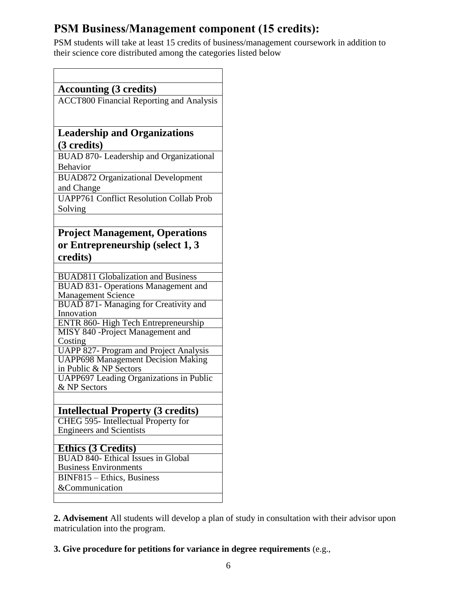# **PSM Business/Management component (15 credits):**

PSM students will take at least 15 credits of business/management coursework in addition to their science core distributed among the categories listed below

| <b>Accounting (3 credits)</b>                                                           |
|-----------------------------------------------------------------------------------------|
| <b>ACCT800 Financial Reporting and Analysis</b>                                         |
|                                                                                         |
|                                                                                         |
| <b>Leadership and Organizations</b>                                                     |
| (3 credits)                                                                             |
| BUAD 870- Leadership and Organizational                                                 |
| <b>Behavior</b>                                                                         |
| <b>BUAD872 Organizational Development</b>                                               |
| and Change                                                                              |
| <b>UAPP761 Conflict Resolution Collab Prob</b>                                          |
| Solving                                                                                 |
|                                                                                         |
| <b>Project Management, Operations</b>                                                   |
| or Entrepreneurship (select 1, 3                                                        |
| credits)                                                                                |
|                                                                                         |
| <b>BUAD811 Globalization and Business</b><br><b>BUAD 831- Operations Management and</b> |
| <b>Management Science</b>                                                               |
| <b>BUAD 871- Managing for Creativity and</b>                                            |
| Innovation                                                                              |
| ENTR 860- High Tech Entrepreneurship                                                    |
| MISY 840 -Project Management and<br>Costing                                             |
| <b>UAPP 827- Program and Project Analysis</b>                                           |
| <b>UAPP698 Management Decision Making</b>                                               |
| in Public & NP Sectors                                                                  |
| <b>UAPP697</b> Leading Organizations in Public                                          |
| & NP Sectors                                                                            |
|                                                                                         |
| <b>Intellectual Property (3 credits)</b>                                                |
| CHEG 595- Intellectual Property for<br><b>Engineers and Scientists</b>                  |
|                                                                                         |
| <b>Ethics</b> (3 Credits)                                                               |
| BUAD 840- Ethical Issues in Global                                                      |
| <b>Business Environments</b>                                                            |
| BINF815 - Ethics, Business                                                              |
| &Communication                                                                          |
|                                                                                         |

**2. Advisement** All students will develop a plan of study in consultation with their advisor upon matriculation into the program.

**3. Give procedure for petitions for variance in degree requirements** (e.g.,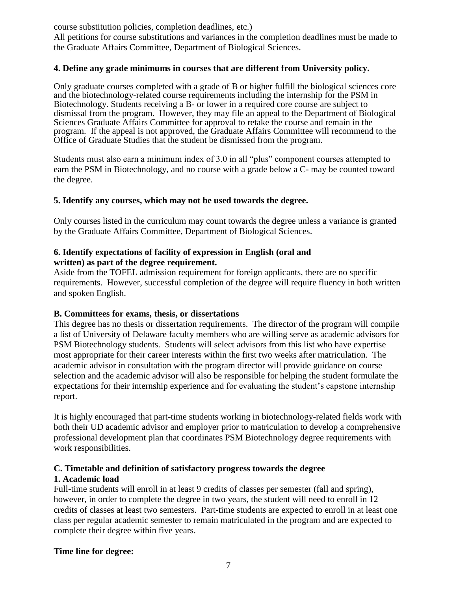course substitution policies, completion deadlines, etc.)

All petitions for course substitutions and variances in the completion deadlines must be made to the Graduate Affairs Committee, Department of Biological Sciences.

#### **4. Define any grade minimums in courses that are different from University policy.**

Only graduate courses completed with a grade of B or higher fulfill the biological sciences core and the biotechnology-related course requirements including the internship for the PSM in Biotechnology. Students receiving a B- or lower in a required core course are subject to dismissal from the program. However, they may file an appeal to the Department of Biological Sciences Graduate Affairs Committee for approval to retake the course and remain in the program. If the appeal is not approved, the Graduate Affairs Committee will recommend to the Office of Graduate Studies that the student be dismissed from the program.

Students must also earn a minimum index of 3.0 in all "plus" component courses attempted to earn the PSM in Biotechnology, and no course with a grade below a C- may be counted toward the degree.

#### **5. Identify any courses, which may not be used towards the degree.**

Only courses listed in the curriculum may count towards the degree unless a variance is granted by the Graduate Affairs Committee, Department of Biological Sciences.

#### **6. Identify expectations of facility of expression in English (oral and written) as part of the degree requirement.**

Aside from the TOFEL admission requirement for foreign applicants, there are no specific requirements. However, successful completion of the degree will require fluency in both written and spoken English.

#### **B. Committees for exams, thesis, or dissertations**

This degree has no thesis or dissertation requirements. The director of the program will compile a list of University of Delaware faculty members who are willing serve as academic advisors for PSM Biotechnology students. Students will select advisors from this list who have expertise most appropriate for their career interests within the first two weeks after matriculation. The academic advisor in consultation with the program director will provide guidance on course selection and the academic advisor will also be responsible for helping the student formulate the expectations for their internship experience and for evaluating the student's capstone internship report.

It is highly encouraged that part-time students working in biotechnology-related fields work with both their UD academic advisor and employer prior to matriculation to develop a comprehensive professional development plan that coordinates PSM Biotechnology degree requirements with work responsibilities.

# **C. Timetable and definition of satisfactory progress towards the degree**

# **1. Academic load**

Full-time students will enroll in at least 9 credits of classes per semester (fall and spring), however, in order to complete the degree in two years, the student will need to enroll in 12 credits of classes at least two semesters. Part-time students are expected to enroll in at least one class per regular academic semester to remain matriculated in the program and are expected to complete their degree within five years.

# **Time line for degree:**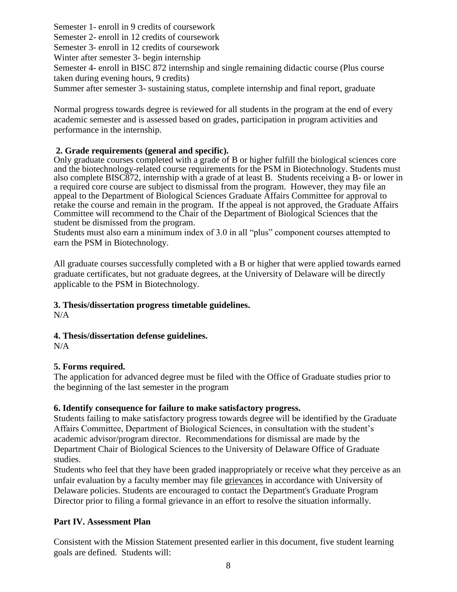Semester 1- enroll in 9 credits of coursework Semester 2- enroll in 12 credits of coursework Semester 3- enroll in 12 credits of coursework Winter after semester 3- begin internship Semester 4- enroll in BISC 872 internship and single remaining didactic course (Plus course taken during evening hours, 9 credits)

Summer after semester 3- sustaining status, complete internship and final report, graduate

Normal progress towards degree is reviewed for all students in the program at the end of every academic semester and is assessed based on grades, participation in program activities and performance in the internship.

#### **2. Grade requirements (general and specific).**

Only graduate courses completed with a grade of B or higher fulfill the biological sciences core and the biotechnology-related course requirements for the PSM in Biotechnology. Students must also complete BISC872, internship with a grade of at least B. Students receiving a B- or lower in a required core course are subject to dismissal from the program. However, they may file an appeal to the Department of Biological Sciences Graduate Affairs Committee for approval to retake the course and remain in the program. If the appeal is not approved, the Graduate Affairs Committee will recommend to the Chair of the Department of Biological Sciences that the student be dismissed from the program.

Students must also earn a minimum index of 3.0 in all "plus" component courses attempted to earn the PSM in Biotechnology.

All graduate courses successfully completed with a B or higher that were applied towards earned graduate certificates, but not graduate degrees, at the University of Delaware will be directly applicable to the PSM in Biotechnology.

#### **3. Thesis/dissertation progress timetable guidelines.**

 $N/A$ 

# **4. Thesis/dissertation defense guidelines.**

 $N/A$ 

#### **5. Forms required.**

The application for advanced degree must be filed with the Office of Graduate studies prior to the beginning of the last semester in the program

#### **6. Identify consequence for failure to make satisfactory progress.**

Students failing to make satisfactory progress towards degree will be identified by the Graduate Affairs Committee, Department of Biological Sciences, in consultation with the student's academic advisor/program director. Recommendations for dismissal are made by the Department Chair of Biological Sciences to the University of Delaware Office of Graduate studies.

Students who feel that they have been graded inappropriately or receive what they perceive as an unfair evaluation by a faculty member may file [grievances](http://www.udel.edu/stuguide/09-10/grievance.html#grieve) in accordance with University of Delaware policies. Students are encouraged to contact the Department's Graduate Program Director prior to filing a formal grievance in an effort to resolve the situation informally.

#### **Part IV. Assessment Plan**

Consistent with the Mission Statement presented earlier in this document, five student learning goals are defined. Students will: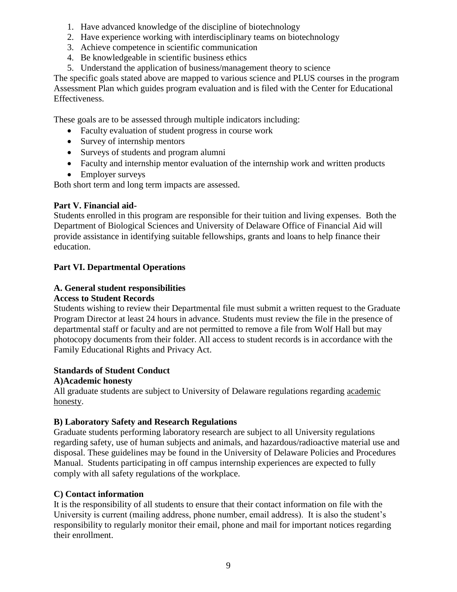- 1. Have advanced knowledge of the discipline of biotechnology
- 2. Have experience working with interdisciplinary teams on biotechnology
- 3. Achieve competence in scientific communication
- 4. Be knowledgeable in scientific business ethics
- 5. Understand the application of business/management theory to science

The specific goals stated above are mapped to various science and PLUS courses in the program Assessment Plan which guides program evaluation and is filed with the Center for Educational Effectiveness.

These goals are to be assessed through multiple indicators including:

- Faculty evaluation of student progress in course work
- Survey of internship mentors
- Surveys of students and program alumni
- Faculty and internship mentor evaluation of the internship work and written products
- Employer surveys

Both short term and long term impacts are assessed.

# **Part V. Financial aid-**

Students enrolled in this program are responsible for their tuition and living expenses. Both the Department of Biological Sciences and University of Delaware Office of Financial Aid will provide assistance in identifying suitable fellowships, grants and loans to help finance their education.

# **Part VI. Departmental Operations**

# **A. General student responsibilities**

#### **Access to Student Records**

Students wishing to review their Departmental file must submit a written request to the Graduate Program Director at least 24 hours in advance. Students must review the file in the presence of departmental staff or faculty and are not permitted to remove a file from Wolf Hall but may photocopy documents from their folder. All access to student records is in accordance with the Family Educational Rights and Privacy Act.

#### **Standards of Student Conduct**

# **A)Academic honesty**

All graduate students are subject to University of Delaware regulations regarding [academic](http://www.udel.edu/stuguide/09-10/code.html#honesty)  [honesty.](http://www.udel.edu/stuguide/09-10/code.html#honesty)

# **B) Laboratory Safety and Research Regulations**

Graduate students performing laboratory research are subject to all University regulations regarding safety, use of human subjects and animals, and hazardous/radioactive material use and disposal. These guidelines may be found in the University of Delaware Policies and Procedures Manual. Students participating in off campus internship experiences are expected to fully comply with all safety regulations of the workplace.

# **C) Contact information**

It is the responsibility of all students to ensure that their contact information on file with the University is current (mailing address, phone number, email address). It is also the student's responsibility to regularly monitor their email, phone and mail for important notices regarding their enrollment.